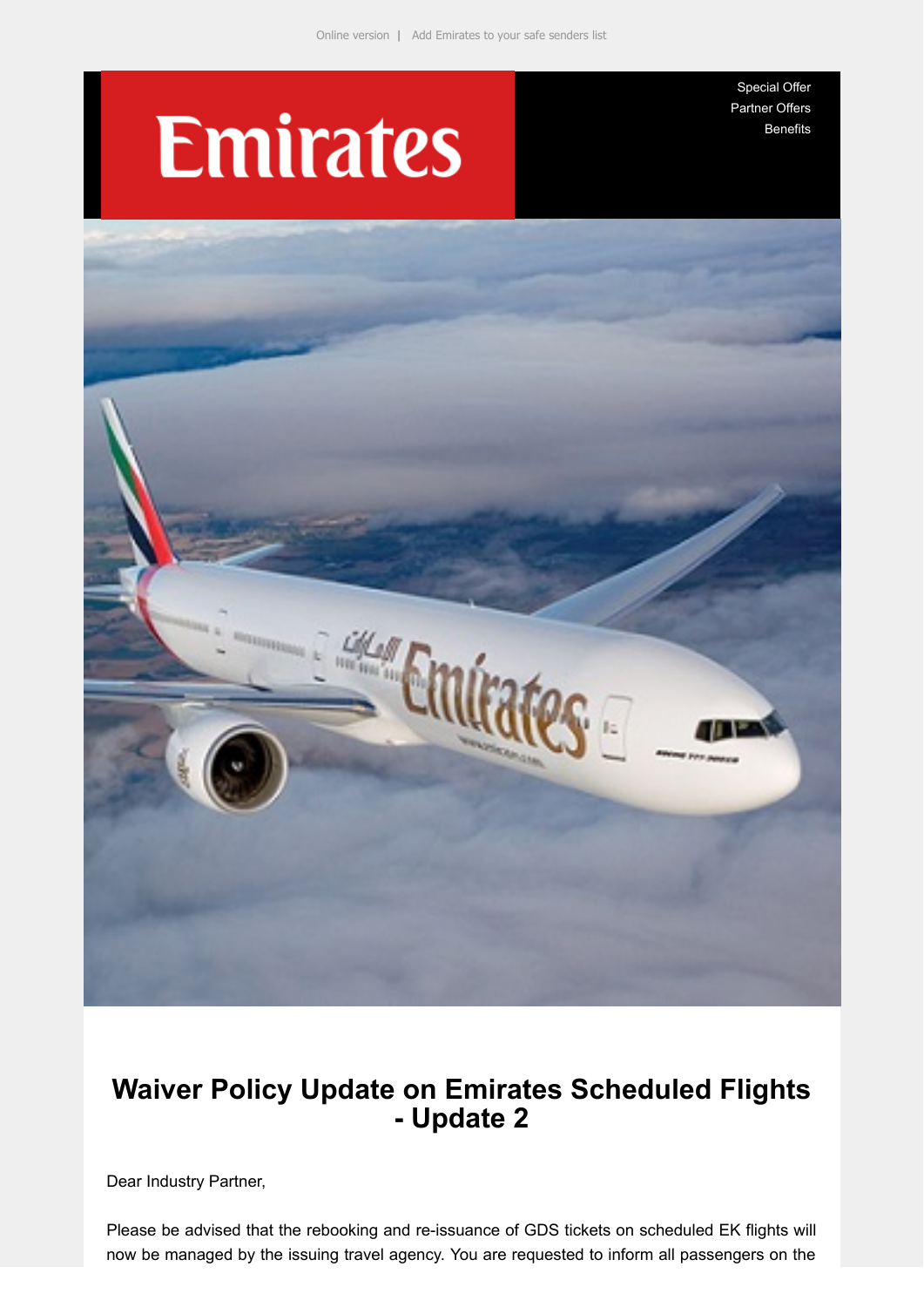# **Emirates**

[Special Offer](https://e.emiratesagents.com/2OIL-11NC3-2BLHTK-NJY8V-1/c.aspx) [Partner Offers](https://e.emiratesagents.com/2OIL-11NC3-2BLHTK-NJY8W-1/c.aspx) [Benefits](https://e.emiratesagents.com/2OIL-11NC3-2BLHTK-NJY8X-1/c.aspx)



## **Waiver Policy Update on Emirates Scheduled Flights - Update 2**

Dear Industry Partner,

Please be advised that the rebooking and re-issuance of GDS tickets on scheduled EK flights will now be managed by the issuing travel agency. You are requested to inform all passengers on the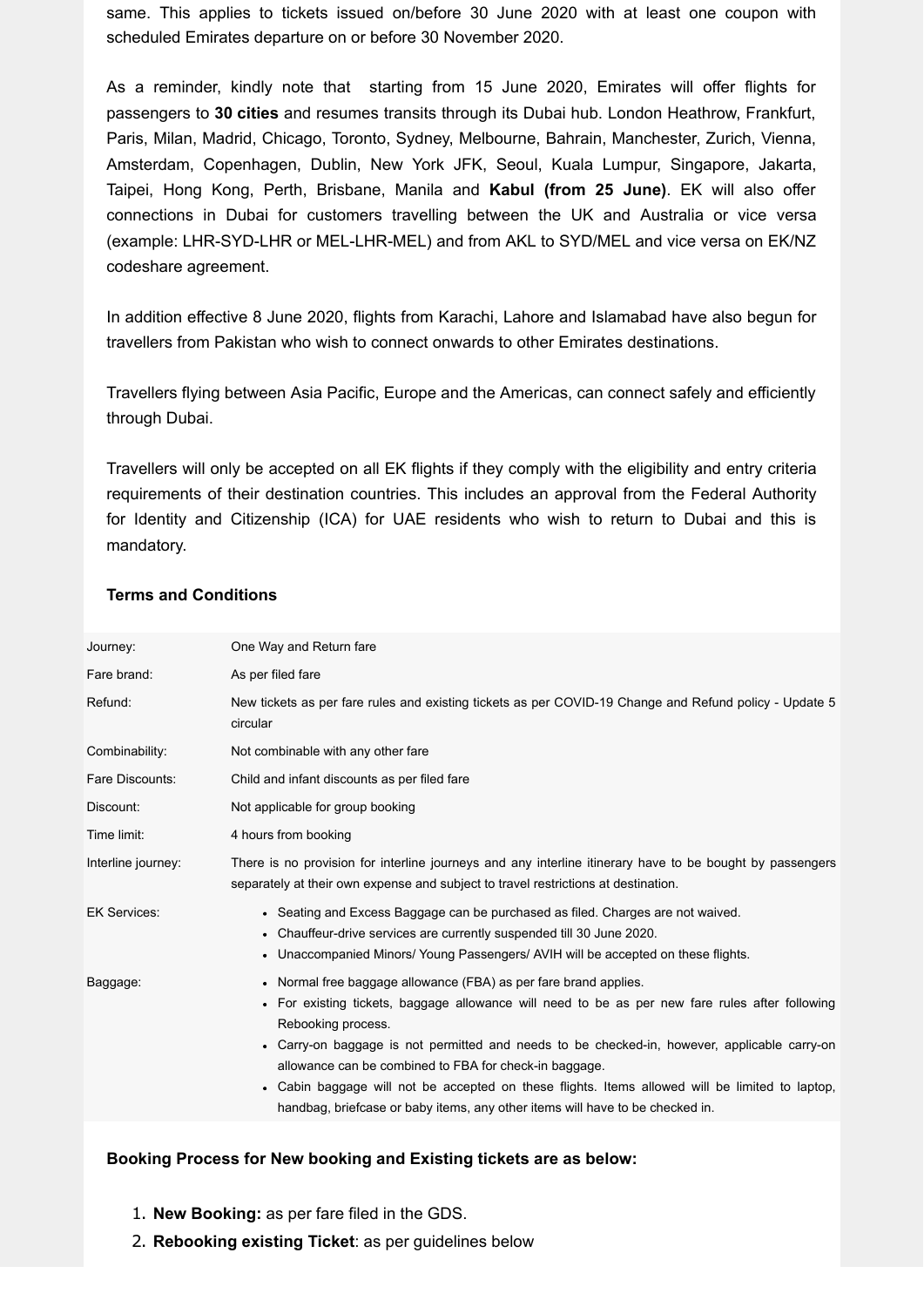same. This applies to tickets issued on/before 30 June 2020 with at least one coupon with scheduled Emirates departure on or before 30 November 2020.

As a reminder, kindly note that starting from 15 June 2020, Emirates will offer flights for passengers to **30 cities** and resumes transits through its Dubai hub. London Heathrow, Frankfurt, Paris, Milan, Madrid, Chicago, Toronto, Sydney, Melbourne, Bahrain, Manchester, Zurich, Vienna, Amsterdam, Copenhagen, Dublin, New York JFK, Seoul, Kuala Lumpur, Singapore, Jakarta, Taipei, Hong Kong, Perth, Brisbane, Manila and **Kabul (from 25 June)**. EK will also offer connections in Dubai for customers travelling between the UK and Australia or vice versa (example: LHR-SYD-LHR or MEL-LHR-MEL) and from AKL to SYD/MEL and vice versa on EK/NZ codeshare agreement.

In addition effective 8 June 2020, flights from Karachi, Lahore and Islamabad have also begun for travellers from Pakistan who wish to connect onwards to other Emirates destinations.

Travellers flying between Asia Pacific, Europe and the Americas, can connect safely and efficiently through Dubai.

Travellers will only be accepted on all EK flights if they comply with the eligibility and entry criteria requirements of their destination countries. This includes an approval from the Federal Authority for Identity and Citizenship (ICA) for UAE residents who wish to return to Dubai and this is mandatory.

| Journey:            | One Way and Return fare                                                                                                                                                                                                                                                                                                                                                                                                                                                                                                                 |
|---------------------|-----------------------------------------------------------------------------------------------------------------------------------------------------------------------------------------------------------------------------------------------------------------------------------------------------------------------------------------------------------------------------------------------------------------------------------------------------------------------------------------------------------------------------------------|
| Fare brand:         | As per filed fare                                                                                                                                                                                                                                                                                                                                                                                                                                                                                                                       |
| Refund:             | New tickets as per fare rules and existing tickets as per COVID-19 Change and Refund policy - Update 5<br>circular                                                                                                                                                                                                                                                                                                                                                                                                                      |
| Combinability:      | Not combinable with any other fare                                                                                                                                                                                                                                                                                                                                                                                                                                                                                                      |
| Fare Discounts:     | Child and infant discounts as per filed fare                                                                                                                                                                                                                                                                                                                                                                                                                                                                                            |
| Discount:           | Not applicable for group booking                                                                                                                                                                                                                                                                                                                                                                                                                                                                                                        |
| Time limit:         | 4 hours from booking                                                                                                                                                                                                                                                                                                                                                                                                                                                                                                                    |
| Interline journey:  | There is no provision for interline journeys and any interline itinerary have to be bought by passengers<br>separately at their own expense and subject to travel restrictions at destination.                                                                                                                                                                                                                                                                                                                                          |
| <b>EK Services:</b> | • Seating and Excess Baggage can be purchased as filed. Charges are not waived.<br>• Chauffeur-drive services are currently suspended till 30 June 2020.<br>• Unaccompanied Minors/ Young Passengers/ AVIH will be accepted on these flights.                                                                                                                                                                                                                                                                                           |
| Baggage:            | • Normal free baggage allowance (FBA) as per fare brand applies.<br>• For existing tickets, baggage allowance will need to be as per new fare rules after following<br>Rebooking process.<br>• Carry-on baggage is not permitted and needs to be checked-in, however, applicable carry-on<br>allowance can be combined to FBA for check-in baggage.<br>• Cabin baggage will not be accepted on these flights. Items allowed will be limited to laptop,<br>handbag, briefcase or baby items, any other items will have to be checked in. |
|                     |                                                                                                                                                                                                                                                                                                                                                                                                                                                                                                                                         |

### **Terms and Conditions**

### **Booking Process for New booking and Existing tickets are as below:**

- 1. **New Booking:** as per fare filed in the GDS.
- 2. **Rebooking existing Ticket**: as per guidelines below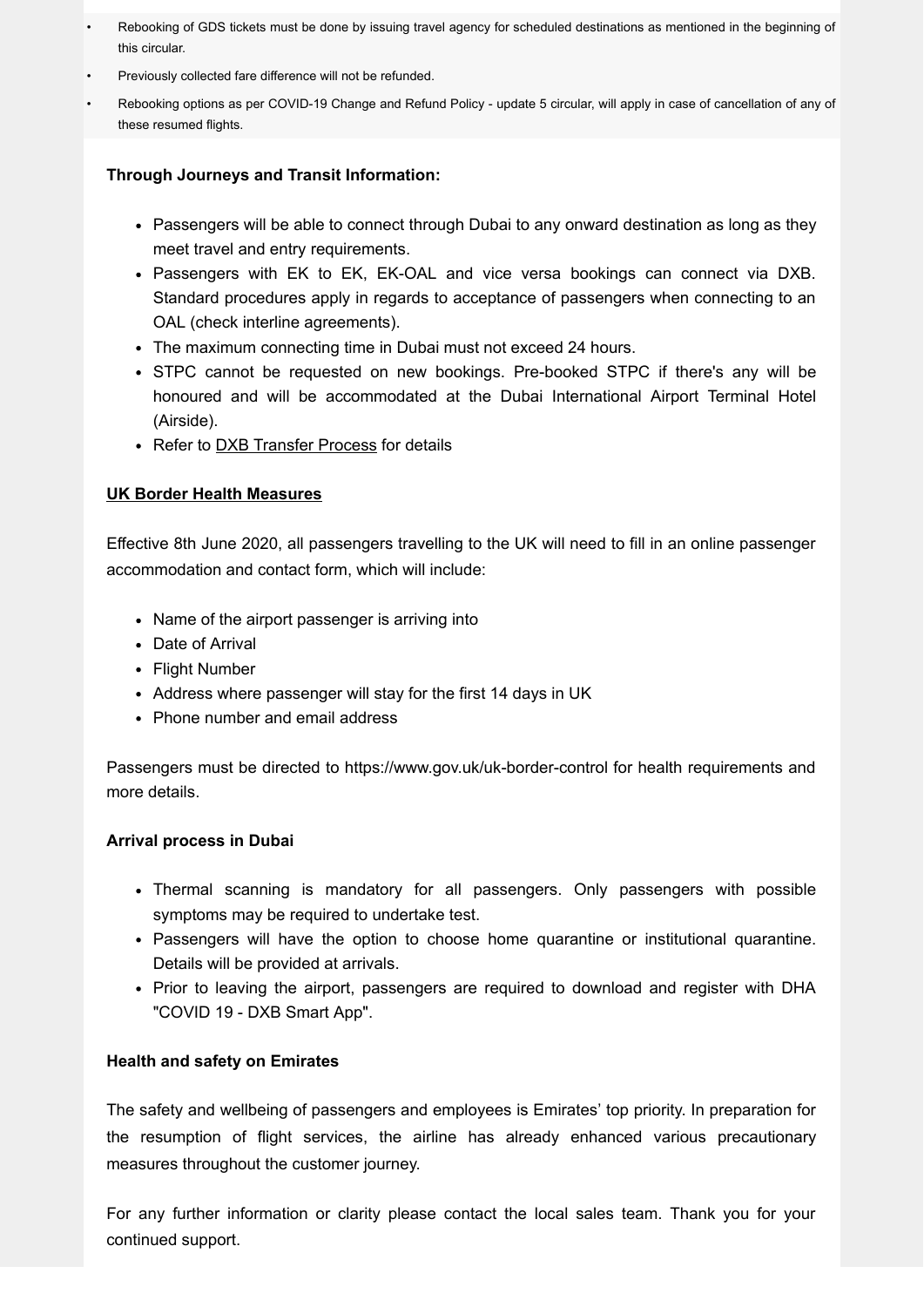- Rebooking of GDS tickets must be done by issuing travel agency for scheduled destinations as mentioned in the beginning of this circular.
- Previously collected fare difference will not be refunded.
- Rebooking options as per COVID-19 Change and Refund Policy update 5 circular, will apply in case of cancellation of any of these resumed flights.

#### **Through Journeys and Transit Information:**

- Passengers will be able to connect through Dubai to any onward destination as long as they meet travel and entry requirements.
- Passengers with EK to EK, EK-OAL and vice versa bookings can connect via DXB. Standard procedures apply in regards to acceptance of passengers when connecting to an OAL (check interline agreements).
- The maximum connecting time in Dubai must not exceed 24 hours.
- STPC cannot be requested on new bookings. Pre-booked STPC if there's any will be honoured and will be accommodated at the Dubai International Airport Terminal Hotel (Airside).
- Refer to **[DXB Transfer Process](https://e.emiratesagents.com/2OIL-11NC3-2BLHTK-NJYDD-1/c.aspx)** for details

#### **UK Border Health Measures**

Effective 8th June 2020, all passengers travelling to the UK will need to fill in an online passenger accommodation and contact form, which will include:

- Name of the airport passenger is arriving into
- Date of Arrival
- Flight Number
- Address where passenger will stay for the first 14 days in UK
- Phone number and email address

Passengers must be directed to https://www.gov.uk/uk-border-control for health requirements and more details.

#### **Arrival process in Dubai**

- Thermal scanning is mandatory for all passengers. Only passengers with possible symptoms may be required to undertake test.
- Passengers will have the option to choose home quarantine or institutional quarantine. Details will be provided at arrivals.
- Prior to leaving the airport, passengers are required to download and register with DHA "COVID 19 - DXB Smart App".

### **Health and safety on Emirates**

The safety and wellbeing of passengers and employees is Emirates' top priority. In preparation for the resumption of flight services, the airline has already enhanced various precautionary measures throughout the customer journey.

For any further information or clarity please contact the local sales team. Thank you for your continued support.